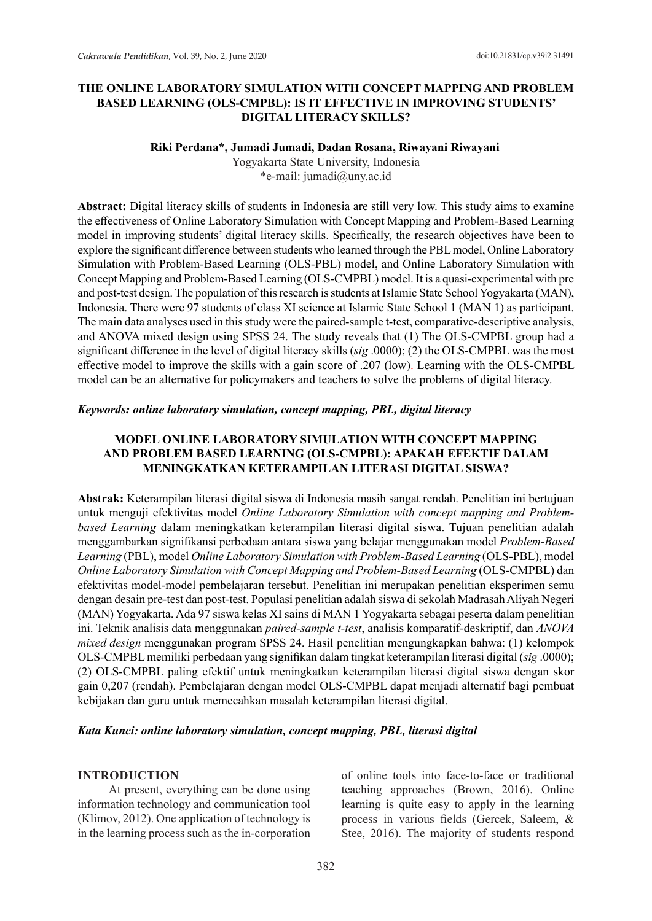## **THE ONLINE LABORATORY SIMULATION WITH CONCEPT MAPPING AND PROBLEM BASED LEARNING (OLS-CMPBL): IS IT EFFECTIVE IN IMPROVING STUDENTS' DIGITAL LITERACY SKILLS?**

#### **Riki Perdana\*, Jumadi Jumadi, Dadan Rosana, Riwayani Riwayani**

Yogyakarta State University, Indonesia \*e-mail: jumadi@uny.ac.id

**Abstract:** Digital literacy skills of students in Indonesia are still very low. This study aims to examine the effectiveness of Online Laboratory Simulation with Concept Mapping and Problem-Based Learning model in improving students' digital literacy skills. Specifically, the research objectives have been to explore the significant difference between students who learned through the PBL model, Online Laboratory Simulation with Problem-Based Learning (OLS-PBL) model, and Online Laboratory Simulation with Concept Mapping and Problem-Based Learning (OLS-CMPBL) model. It is a quasi-experimental with pre and post-test design. The population of this research is students at Islamic State School Yogyakarta (MAN), Indonesia. There were 97 students of class XI science at Islamic State School 1 (MAN 1) as participant. The main data analyses used in this study were the paired-sample t-test, comparative-descriptive analysis, and ANOVA mixed design using SPSS 24. The study reveals that (1) The OLS-CMPBL group had a significant difference in the level of digital literacy skills (*sig* .0000); (2) the OLS-CMPBL was the most effective model to improve the skills with a gain score of .207 (low). Learning with the OLS-CMPBL model can be an alternative for policymakers and teachers to solve the problems of digital literacy.

#### *Keywords: online laboratory simulation, concept mapping, PBL, digital literacy*

## **MODEL ONLINE LABORATORY SIMULATION WITH CONCEPT MAPPING AND PROBLEM BASED LEARNING (OLS-CMPBL): APAKAH EFEKTIF DALAM MENINGKATKAN KETERAMPILAN LITERASI DIGITAL SISWA?**

**Abstrak:** Keterampilan literasi digital siswa di Indonesia masih sangat rendah. Penelitian ini bertujuan untuk menguji efektivitas model *Online Laboratory Simulation with concept mapping and Problembased Learning* dalam meningkatkan keterampilan literasi digital siswa. Tujuan penelitian adalah menggambarkan signifikansi perbedaan antara siswa yang belajar menggunakan model *Problem-Based Learning* (PBL), model *Online Laboratory Simulation with Problem-Based Learning* (OLS-PBL), model *Online Laboratory Simulation with Concept Mapping and Problem-Based Learning* (OLS-CMPBL) dan efektivitas model-model pembelajaran tersebut. Penelitian ini merupakan penelitian eksperimen semu dengan desain pre-test dan post-test. Populasi penelitian adalah siswa di sekolah Madrasah Aliyah Negeri (MAN) Yogyakarta. Ada 97 siswa kelas XI sains di MAN 1 Yogyakarta sebagai peserta dalam penelitian ini. Teknik analisis data menggunakan *paired-sample t-test*, analisis komparatif-deskriptif, dan *ANOVA mixed design* menggunakan program SPSS 24. Hasil penelitian mengungkapkan bahwa: (1) kelompok OLS-CMPBL memiliki perbedaan yang signifikan dalam tingkat keterampilan literasi digital (*sig* .0000); (2) OLS-CMPBL paling efektif untuk meningkatkan keterampilan literasi digital siswa dengan skor gain 0,207 (rendah). Pembelajaran dengan model OLS-CMPBL dapat menjadi alternatif bagi pembuat kebijakan dan guru untuk memecahkan masalah keterampilan literasi digital.

#### *Kata Kunci: online laboratory simulation, concept mapping, PBL, literasi digital*

#### **INTRODUCTION**

At present, everything can be done using information technology and communication tool (Klimov, 2012). One application of technology is in the learning process such as the in-corporation of online tools into face-to-face or traditional teaching approaches (Brown, 2016). Online learning is quite easy to apply in the learning process in various fields (Gercek, Saleem, & Stee, 2016). The majority of students respond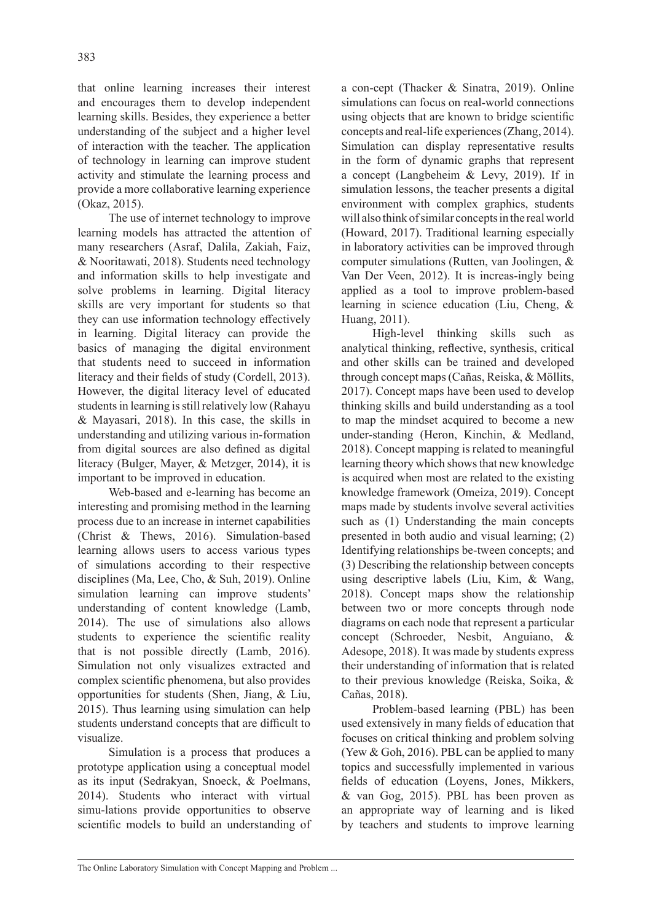that online learning increases their interest and encourages them to develop independent learning skills. Besides, they experience a better understanding of the subject and a higher level of interaction with the teacher. The application of technology in learning can improve student activity and stimulate the learning process and provide a more collaborative learning experience (Okaz, 2015).

The use of internet technology to improve learning models has attracted the attention of many researchers (Asraf, Dalila, Zakiah, Faiz, & Nooritawati, 2018). Students need technology and information skills to help investigate and solve problems in learning. Digital literacy skills are very important for students so that they can use information technology effectively in learning. Digital literacy can provide the basics of managing the digital environment that students need to succeed in information literacy and their fields of study (Cordell, 2013). However, the digital literacy level of educated students in learning is still relatively low (Rahayu & Mayasari, 2018). In this case, the skills in understanding and utilizing various in-formation from digital sources are also defined as digital literacy (Bulger, Mayer, & Metzger, 2014), it is important to be improved in education.

Web-based and e-learning has become an interesting and promising method in the learning process due to an increase in internet capabilities (Christ & Thews, 2016). Simulation-based learning allows users to access various types of simulations according to their respective disciplines (Ma, Lee, Cho, & Suh, 2019). Online simulation learning can improve students' understanding of content knowledge (Lamb, 2014). The use of simulations also allows students to experience the scientific reality that is not possible directly (Lamb, 2016). Simulation not only visualizes extracted and complex scientific phenomena, but also provides opportunities for students (Shen, Jiang, & Liu, 2015). Thus learning using simulation can help students understand concepts that are difficult to visualize.

Simulation is a process that produces a prototype application using a conceptual model as its input (Sedrakyan, Snoeck, & Poelmans, 2014). Students who interact with virtual simu-lations provide opportunities to observe scientific models to build an understanding of a con-cept (Thacker & Sinatra, 2019). Online simulations can focus on real-world connections using objects that are known to bridge scientific concepts and real-life experiences (Zhang, 2014). Simulation can display representative results in the form of dynamic graphs that represent a concept (Langbeheim & Levy, 2019). If in simulation lessons, the teacher presents a digital environment with complex graphics, students will also think of similar concepts in the real world (Howard, 2017). Traditional learning especially in laboratory activities can be improved through computer simulations (Rutten, van Joolingen, & Van Der Veen, 2012). It is increas-ingly being applied as a tool to improve problem-based learning in science education (Liu, Cheng, & Huang, 2011).

High-level thinking skills such as analytical thinking, reflective, synthesis, critical and other skills can be trained and developed through concept maps (Cañas, Reiska, & Möllits, 2017). Concept maps have been used to develop thinking skills and build understanding as a tool to map the mindset acquired to become a new under-standing (Heron, Kinchin, & Medland, 2018). Concept mapping is related to meaningful learning theory which shows that new knowledge is acquired when most are related to the existing knowledge framework (Omeiza, 2019). Concept maps made by students involve several activities such as (1) Understanding the main concepts presented in both audio and visual learning; (2) Identifying relationships be-tween concepts; and (3) Describing the relationship between concepts using descriptive labels (Liu, Kim, & Wang, 2018). Concept maps show the relationship between two or more concepts through node diagrams on each node that represent a particular concept (Schroeder, Nesbit, Anguiano, & Adesope, 2018). It was made by students express their understanding of information that is related to their previous knowledge (Reiska, Soika, & Cañas, 2018).

Problem-based learning (PBL) has been used extensively in many fields of education that focuses on critical thinking and problem solving (Yew & Goh, 2016). PBL can be applied to many topics and successfully implemented in various fields of education (Loyens, Jones, Mikkers, & van Gog, 2015). PBL has been proven as an appropriate way of learning and is liked by teachers and students to improve learning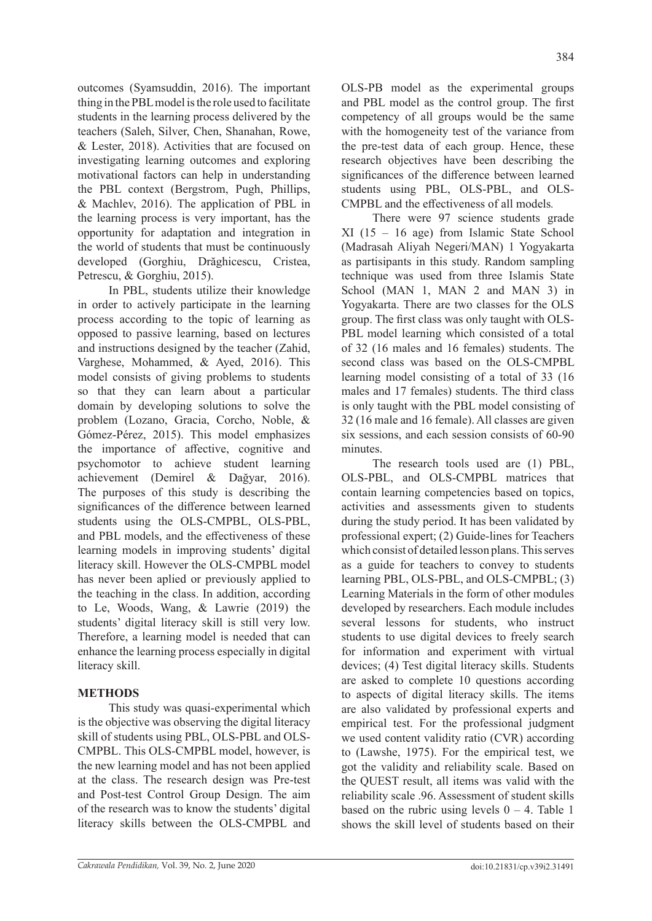outcomes (Syamsuddin, 2016). The important thing in the PBL model is the role used to facilitate students in the learning process delivered by the teachers (Saleh, Silver, Chen, Shanahan, Rowe, & Lester, 2018). Activities that are focused on investigating learning outcomes and exploring motivational factors can help in understanding the PBL context (Bergstrom, Pugh, Phillips, & Machlev, 2016). The application of PBL in the learning process is very important, has the opportunity for adaptation and integration in the world of students that must be continuously developed (Gorghiu, Drăghicescu, Cristea, Petrescu, & Gorghiu, 2015).

In PBL, students utilize their knowledge in order to actively participate in the learning process according to the topic of learning as opposed to passive learning, based on lectures and instructions designed by the teacher (Zahid, Varghese, Mohammed, & Ayed, 2016). This model consists of giving problems to students so that they can learn about a particular domain by developing solutions to solve the problem (Lozano, Gracia, Corcho, Noble, & Gómez-Pérez, 2015). This model emphasizes the importance of affective, cognitive and psychomotor to achieve student learning achievement (Demirel & Dağyar, 2016). The purposes of this study is describing the significances of the difference between learned students using the OLS-CMPBL, OLS-PBL, and PBL models, and the effectiveness of these learning models in improving students' digital literacy skill. However the OLS-CMPBL model has never been aplied or previously applied to the teaching in the class. In addition, according to Le, Woods, Wang, & Lawrie (2019) the students' digital literacy skill is still very low. Therefore, a learning model is needed that can enhance the learning process especially in digital literacy skill.

# **METHODS**

This study was quasi-experimental which is the objective was observing the digital literacy skill of students using PBL, OLS-PBL and OLS-CMPBL. This OLS-CMPBL model, however, is the new learning model and has not been applied at the class. The research design was Pre-test and Post-test Control Group Design. The aim of the research was to know the students' digital literacy skills between the OLS-CMPBL and

OLS-PB model as the experimental groups and PBL model as the control group. The first competency of all groups would be the same with the homogeneity test of the variance from the pre-test data of each group. Hence, these research objectives have been describing the significances of the difference between learned students using PBL, OLS-PBL, and OLS-CMPBL and the effectiveness of all models*.*

There were 97 science students grade XI (15 – 16 age) from Islamic State School (Madrasah Aliyah Negeri/MAN) 1 Yogyakarta as partisipants in this study. Random sampling technique was used from three Islamis State School (MAN 1, MAN 2 and MAN 3) in Yogyakarta. There are two classes for the OLS group. The first class was only taught with OLS-PBL model learning which consisted of a total of 32 (16 males and 16 females) students. The second class was based on the OLS-CMPBL learning model consisting of a total of 33 (16 males and 17 females) students. The third class is only taught with the PBL model consisting of 32 (16 male and 16 female). All classes are given six sessions, and each session consists of 60-90 minutes.

The research tools used are (1) PBL, OLS-PBL, and OLS-CMPBL matrices that contain learning competencies based on topics, activities and assessments given to students during the study period. It has been validated by professional expert; (2) Guide-lines for Teachers which consist of detailed lesson plans. This serves as a guide for teachers to convey to students learning PBL, OLS-PBL, and OLS-CMPBL; (3) Learning Materials in the form of other modules developed by researchers. Each module includes several lessons for students, who instruct students to use digital devices to freely search for information and experiment with virtual devices; (4) Test digital literacy skills. Students are asked to complete 10 questions according to aspects of digital literacy skills. The items are also validated by professional experts and empirical test. For the professional judgment we used content validity ratio (CVR) according to (Lawshe, 1975). For the empirical test, we got the validity and reliability scale. Based on the QUEST result, all items was valid with the reliability scale .96. Assessment of student skills based on the rubric using levels  $0 - 4$ . Table 1 shows the skill level of students based on their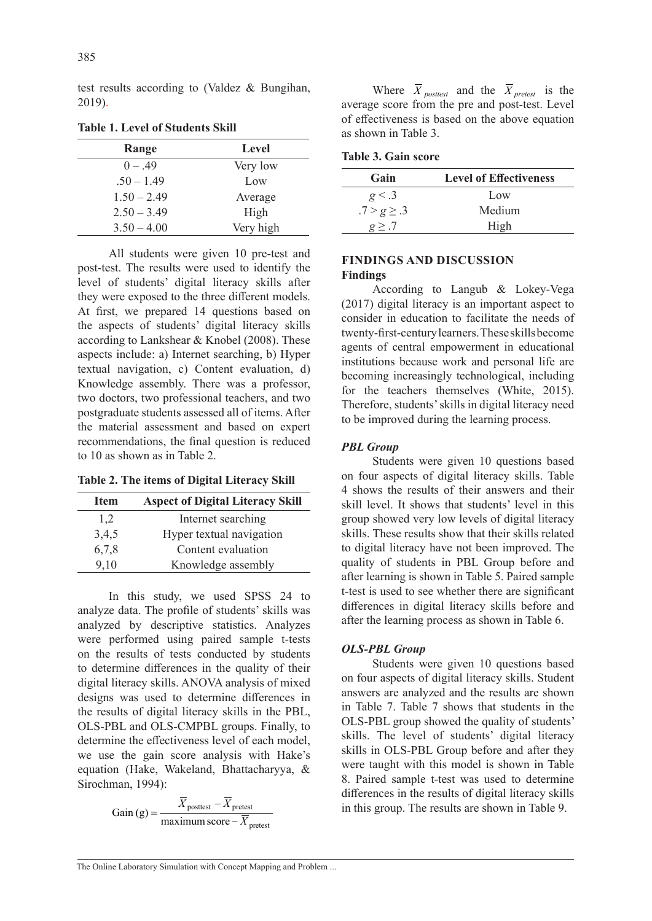test results according to (Valdez & Bungihan, 2019).

| Range         | Level     |
|---------------|-----------|
| $0 - .49$     | Very low  |
| $.50 - 1.49$  | Low       |
| $1.50 - 2.49$ | Average   |
| $2.50 - 3.49$ | High      |
| $3.50 - 4.00$ | Very high |

**Table 1. Level of Students Skill**

All students were given 10 pre-test and post-test. The results were used to identify the level of students' digital literacy skills after they were exposed to the three different models. At first, we prepared 14 questions based on the aspects of students' digital literacy skills according to Lankshear & Knobel (2008). These aspects include: a) Internet searching, b) Hyper textual navigation, c) Content evaluation, d) Knowledge assembly. There was a professor, two doctors, two professional teachers, and two postgraduate students assessed all of items. After the material assessment and based on expert recommendations, the final question is reduced to 10 as shown as in Table 2.

**Table 2. The items of Digital Literacy Skill**

| Item  | <b>Aspect of Digital Literacy Skill</b> |
|-------|-----------------------------------------|
| 1,2   | Internet searching                      |
| 3,4,5 | Hyper textual navigation                |
| 6,7,8 | Content evaluation                      |
| 9,10  | Knowledge assembly                      |

In this study, we used SPSS 24 to analyze data. The profile of students' skills was analyzed by descriptive statistics. Analyzes were performed using paired sample t-tests on the results of tests conducted by students to determine differences in the quality of their digital literacy skills. ANOVA analysis of mixed designs was used to determine differences in the results of digital literacy skills in the PBL, OLS-PBL and OLS-CMPBL groups. Finally, to determine the effectiveness level of each model, we use the gain score analysis with Hake's equation (Hake, Wakeland, Bhattacharyya, & Sirochman, 1994):

Gain (g) = 
$$
\frac{\overline{X}_{\text{posttest}} - \overline{X}_{\text{pretest}}}{\text{maximum score} - \overline{X}_{\text{pretest}}}
$$

Where  $\overline{X}_{\text{posttest}}$  and the  $\overline{X}_{\text{pretest}}$  is the average score from the pre and post-test. Level of effectiveness is based on the above equation as shown in Table 3.

|  |  | <b>Table 3. Gain score</b> |  |
|--|--|----------------------------|--|
|--|--|----------------------------|--|

| Gain            | <b>Level of Effectiveness</b> |
|-----------------|-------------------------------|
| g < .3          | Low                           |
| $.7 > g \ge .3$ | Medium                        |
| $g \geq .7$     | High                          |

# **FINDINGS AND DISCUSSION Findings**

According to Langub & Lokey-Vega (2017) digital literacy is an important aspect to consider in education to facilitate the needs of twenty-first-century learners. These skills become agents of central empowerment in educational institutions because work and personal life are becoming increasingly technological, including for the teachers themselves (White, 2015). Therefore, students' skills in digital literacy need to be improved during the learning process.

### *PBL Group*

Students were given 10 questions based on four aspects of digital literacy skills. Table 4 shows the results of their answers and their skill level. It shows that students' level in this group showed very low levels of digital literacy skills. These results show that their skills related to digital literacy have not been improved. The quality of students in PBL Group before and after learning is shown in Table 5. Paired sample t-test is used to see whether there are significant differences in digital literacy skills before and after the learning process as shown in Table 6.

#### *OLS-PBL Group*

Students were given 10 questions based on four aspects of digital literacy skills. Student answers are analyzed and the results are shown in Table 7. Table 7 shows that students in the OLS-PBL group showed the quality of students' skills. The level of students' digital literacy skills in OLS-PBL Group before and after they were taught with this model is shown in Table 8. Paired sample t-test was used to determine differences in the results of digital literacy skills in this group. The results are shown in Table 9.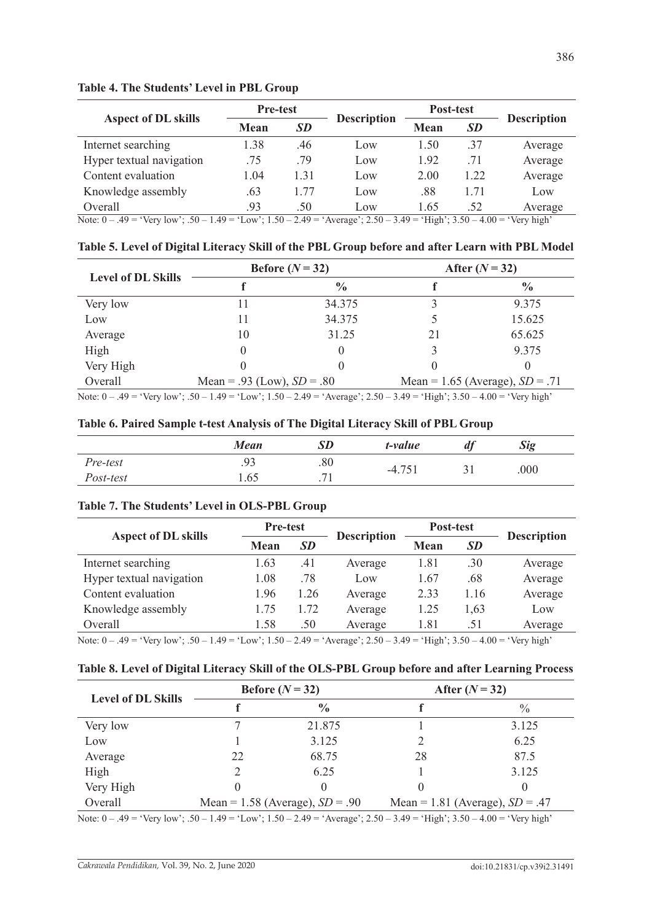|                                                                                                                            | <b>Pre-test</b> |           |                    | Post-test |           |                    |
|----------------------------------------------------------------------------------------------------------------------------|-----------------|-----------|--------------------|-----------|-----------|--------------------|
| <b>Aspect of DL skills</b>                                                                                                 | <b>Mean</b>     | <b>SD</b> | <b>Description</b> | Mean      | <b>SD</b> | <b>Description</b> |
| Internet searching                                                                                                         | 1.38            | .46       | Low                | 1.50      | .37       | Average            |
| Hyper textual navigation                                                                                                   | .75             | .79       | Low                | 1.92      | .71       | Average            |
| Content evaluation                                                                                                         | 1.04            | 1.31      | Low                | 2.00      | 1.22      | Average            |
| Knowledge assembly                                                                                                         | .63             | 1.77      | Low                | .88       | 1.71      | Low                |
| Overall                                                                                                                    | .93             | .50       | Low                | 1.65      | .52       | Average            |
| Note: $0 - .49 = 'Very low'; .50 - 1.49 = 'Low'; 1.50 - 2.49 = 'Average'; 2.50 - 3.49 = 'High'; 3.50 - 4.00 = 'Very high'$ |                 |           |                    |           |           |                    |

## **Table 4. The Students' Level in PBL Group**

**Table 5. Level of Digital Literacy Skill of the PBL Group before and after Learn with PBL Model**

| <b>Level of DL Skills</b>                                                                                                          |                              | Before $(N=32)$ | After $(N=32)$ |                                   |  |
|------------------------------------------------------------------------------------------------------------------------------------|------------------------------|-----------------|----------------|-----------------------------------|--|
|                                                                                                                                    |                              | $\frac{0}{0}$   |                | $\frac{6}{9}$                     |  |
| Very low                                                                                                                           |                              | 34.375          |                | 9.375                             |  |
| Low                                                                                                                                |                              | 34.375          |                | 15.625                            |  |
| Average                                                                                                                            | 10                           | 31.25           | 21             | 65.625                            |  |
| High                                                                                                                               |                              |                 |                | 9.375                             |  |
| Very High                                                                                                                          |                              |                 |                | 0                                 |  |
| Overall                                                                                                                            | Mean = .93 (Low), $SD = .80$ |                 |                | Mean = 1.65 (Average), $SD = .71$ |  |
| Note: $0 - .49 =$ 'Very low'; $.50 - 1.49 =$ 'Low'; $1.50 - 2.49 =$ 'Average'; $2.50 - 3.49 =$ 'High'; $3.50 - 4.00 =$ 'Very high' |                              |                 |                |                                   |  |

|  | Table 6. Paired Sample t-test Analysis of The Digital Literacy Skill of PBL Group |  |  |  |  |
|--|-----------------------------------------------------------------------------------|--|--|--|--|
|  |                                                                                   |  |  |  |  |

|           | <b>Mean</b> | <b>SD</b>                | t-value  | $\boldsymbol{a}$ | <b>Sig</b> |  |
|-----------|-------------|--------------------------|----------|------------------|------------|--|
| Pre-test  | .93         | .80                      |          |                  | .000       |  |
| Post-test | 1.65        | $\overline{\phantom{a}}$ | $-4.751$ |                  |            |  |

## **Table 7. The Students' Level in OLS-PBL Group**

|                              | <b>Pre-test</b> |           |                    | Post-test   |           |                    |  |
|------------------------------|-----------------|-----------|--------------------|-------------|-----------|--------------------|--|
| <b>Aspect of DL skills</b>   | Mean            | <b>SD</b> | <b>Description</b> | <b>Mean</b> | <b>SD</b> | <b>Description</b> |  |
| Internet searching           | 1.63            | .41       | Average            | 1.81        | .30       | Average            |  |
| Hyper textual navigation     | 1.08            | .78       | Low                | 1.67        | .68       | Average            |  |
| Content evaluation           | 1.96            | 1.26      | Average            | 2.33        | 1.16      | Average            |  |
| Knowledge assembly           | 1.75            | 1.72      | Average            | 1.25        | 1,63      | Low                |  |
| Overall                      | 1.58            | .50       | Average            | 1.81        | .51       | Average            |  |
| $N_{\text{data}}(1, 40 - 9)$ |                 |           |                    |             |           |                    |  |

Note: 0 – .49 = 'Very low'; .50 – 1.49 = 'Low'; 1.50 – 2.49 = 'Average'; 2.50 – 3.49 = 'High'; 3.50 – 4.00 = 'Very high'

#### **Table 8. Level of Digital Literacy Skill of the OLS-PBL Group before and after Learning Process**

| <b>Level of DL Skills</b> |                                     | Before $(N=32)$ | After $(N = 32)$                  |               |  |
|---------------------------|-------------------------------------|-----------------|-----------------------------------|---------------|--|
|                           |                                     | $\frac{0}{0}$   |                                   | $\frac{0}{0}$ |  |
| Very low                  |                                     | 21.875          |                                   | 3.125         |  |
| Low                       |                                     | 3.125           |                                   | 6.25          |  |
| Average                   | 22                                  | 68.75           | 28                                | 87.5          |  |
| High                      |                                     | 6.25            |                                   | 3.125         |  |
| Very High                 |                                     |                 |                                   |               |  |
| Overall                   | Mean = $1.58$ (Average), $SD = .90$ |                 | Mean = 1.81 (Average), $SD = .47$ |               |  |

Note: 0 – .49 = 'Very low'; .50 – 1.49 = 'Low'; 1.50 – 2.49 = 'Average'; 2.50 – 3.49 = 'High'; 3.50 – 4.00 = 'Very high'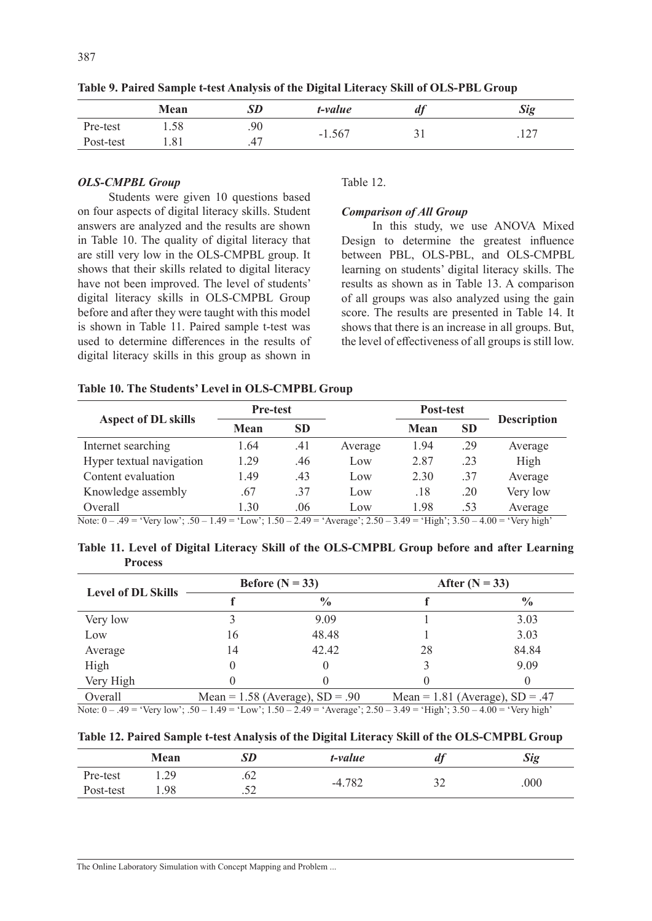|           | Mean |     | t-value  | $\boldsymbol{u}_l$ | <b>Sig</b>         |
|-----------|------|-----|----------|--------------------|--------------------|
| Pre-test  | 1.58 | .90 | $-1.567$ |                    | ہ .                |
| Post-test | 1.81 | .47 |          | ◡                  | $\cdot$ 1 $\sim$ . |

**Table 9. Paired Sample t-test Analysis of the Digital Literacy Skill of OLS-PBL Group**

## *OLS-CMPBL Group*

Students were given 10 questions based on four aspects of digital literacy skills. Student answers are analyzed and the results are shown in Table 10. The quality of digital literacy that are still very low in the OLS-CMPBL group. It shows that their skills related to digital literacy have not been improved. The level of students' digital literacy skills in OLS-CMPBL Group before and after they were taught with this model is shown in Table 11. Paired sample t-test was used to determine differences in the results of digital literacy skills in this group as shown in

#### Table 12.

#### *Comparison of All Group*

In this study, we use ANOVA Mixed Design to determine the greatest influence between PBL, OLS-PBL, and OLS-CMPBL learning on students' digital literacy skills. The results as shown as in Table 13. A comparison of all groups was also analyzed using the gain score. The results are presented in Table 14. It shows that there is an increase in all groups. But, the level of effectiveness of all groups is still low.

#### **Table 10. The Students' Level in OLS-CMPBL Group**

|                                                                                                                             | <b>Pre-test</b> |           |         | Post-test |           |                    |  |
|-----------------------------------------------------------------------------------------------------------------------------|-----------------|-----------|---------|-----------|-----------|--------------------|--|
| <b>Aspect of DL skills</b>                                                                                                  | Mean            | <b>SD</b> |         | Mean      | <b>SD</b> | <b>Description</b> |  |
| Internet searching                                                                                                          | 1.64            | .41       | Average | 1.94      | .29       | Average            |  |
| Hyper textual navigation                                                                                                    | 1.29            | .46       | Low     | 2.87      | .23       | High               |  |
| Content evaluation                                                                                                          | 1.49            | .43       | Low     | 2.30      | .37       | Average            |  |
| Knowledge assembly                                                                                                          | .67             | .37       | Low     | .18       | .20       | Very low           |  |
| Overall                                                                                                                     | 1.30            | .06       | Low     | 1.98      | .53       | Average            |  |
| Note: $0 - .49 = 'Very low'; 0.50 - 1.49 = 'Low'; 1.50 - 2.49 = 'Average'; 2.50 - 3.49 = 'High'; 3.50 - 4.00 = 'Very high'$ |                 |           |         |           |           |                    |  |

**Table 11. Level of Digital Literacy Skill of the OLS-CMPBL Group before and after Learning** 

**Process**

| <b>Level of DL Skills</b> |    | Before $(N = 33)$                 | After $(N = 33)$                  |               |  |
|---------------------------|----|-----------------------------------|-----------------------------------|---------------|--|
|                           |    | $\frac{0}{0}$                     |                                   | $\frac{0}{0}$ |  |
| Very low                  |    | 9.09                              |                                   | 3.03          |  |
| Low                       | 16 | 48.48                             |                                   | 3.03          |  |
| Average                   | 14 | 42.42                             | 28                                | 84.84         |  |
| High                      |    |                                   |                                   | 9.09          |  |
| Very High                 |    |                                   |                                   |               |  |
| Overall                   |    | Mean = $1.58$ (Average), SD = .90 | Mean = $1.81$ (Average), SD = .47 |               |  |

Note: 0 – .49 = 'Very low'; .50 – 1.49 = 'Low'; 1.50 – 2.49 = 'Average'; 2.50 – 3.49 = 'High'; 3.50 – 4.00 = 'Very high'

|  |  |  | Table 12. Paired Sample t-test Analysis of the Digital Literacy Skill of the OLS-CMPBL Group |  |
|--|--|--|----------------------------------------------------------------------------------------------|--|
|  |  |  |                                                                                              |  |

|           | Mean | SD        | t-value  | u             | <b>Sig</b> |
|-----------|------|-----------|----------|---------------|------------|
| Pre-test  | 1.29 | .v∠       | $-4.782$ | $\sim$<br>ے ب | .000       |
| Post-test | .98  | Ξn<br>ے ب |          |               |            |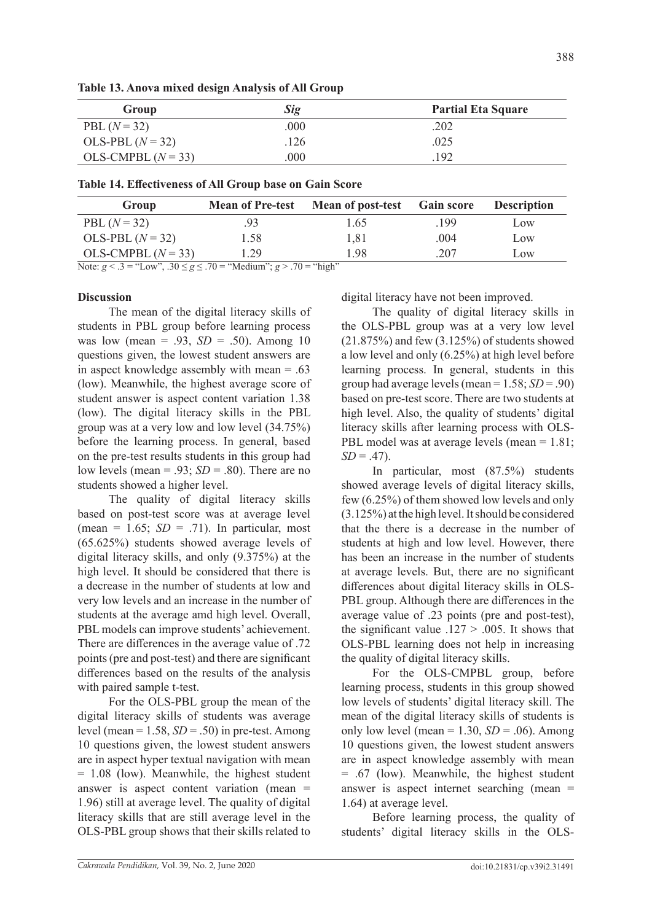| Group                | <b>Sig</b> | <b>Partial Eta Square</b> |
|----------------------|------------|---------------------------|
| PBL $(N = 32)$       | .000       | .202                      |
| OLS-PBL $(N=32)$     | .126       | .025                      |
| OLS-CMPBL $(N = 33)$ | 000        | 192                       |

| Group                | <b>Mean of Pre-test</b> | <b>Mean of post-test</b> Gain score |      | <b>Description</b> |
|----------------------|-------------------------|-------------------------------------|------|--------------------|
| PBL $(N = 32)$       | .93                     | 1.65                                | .199 | Low                |
| OLS-PBL $(N=32)$     | 1.58                    | 1.81                                | .004 | Low                |
| OLS-CMPBL $(N = 33)$ | 1.29                    | 1.98                                | .207 | Low                |

Note:  $g < .3$  = "Low",  $.30 \le g \le .70$  = "Medium";  $g > .70$  = "high"

# **Discussion**

The mean of the digital literacy skills of students in PBL group before learning process was low (mean = .93, *SD* = .50). Among 10 questions given, the lowest student answers are in aspect knowledge assembly with mean = .63 (low). Meanwhile, the highest average score of student answer is aspect content variation 1.38 (low). The digital literacy skills in the PBL group was at a very low and low level (34.75%) before the learning process. In general, based on the pre-test results students in this group had low levels (mean = .93; *SD* = .80). There are no students showed a higher level.

The quality of digital literacy skills based on post-test score was at average level (mean =  $1.65$ ;  $SD = .71$ ). In particular, most (65.625%) students showed average levels of digital literacy skills, and only (9.375%) at the high level. It should be considered that there is a decrease in the number of students at low and very low levels and an increase in the number of students at the average amd high level. Overall, PBL models can improve students' achievement. There are differences in the average value of .72 points (pre and post-test) and there are significant differences based on the results of the analysis with paired sample t-test.

For the OLS-PBL group the mean of the digital literacy skills of students was average level (mean = 1.58, *SD* = .50) in pre-test. Among 10 questions given, the lowest student answers are in aspect hyper textual navigation with mean = 1.08 (low). Meanwhile, the highest student answer is aspect content variation (mean = 1.96) still at average level. The quality of digital literacy skills that are still average level in the OLS-PBL group shows that their skills related to digital literacy have not been improved.

The quality of digital literacy skills in the OLS-PBL group was at a very low level (21.875%) and few (3.125%) of students showed a low level and only (6.25%) at high level before learning process. In general, students in this group had average levels (mean = 1.58; *SD* = .90) based on pre-test score. There are two students at high level. Also, the quality of students' digital literacy skills after learning process with OLS-PBL model was at average levels (mean = 1.81;  $SD = .47$ ).

In particular, most (87.5%) students showed average levels of digital literacy skills, few (6.25%) of them showed low levels and only (3.125%) at the high level. It should be considered that the there is a decrease in the number of students at high and low level. However, there has been an increase in the number of students at average levels. But, there are no significant differences about digital literacy skills in OLS-PBL group. Although there are differences in the average value of .23 points (pre and post-test), the significant value  $.127 > .005$ . It shows that OLS-PBL learning does not help in increasing the quality of digital literacy skills.

For the OLS-CMPBL group, before learning process, students in this group showed low levels of students' digital literacy skill. The mean of the digital literacy skills of students is only low level (mean  $= 1.30$ ,  $SD = .06$ ). Among 10 questions given, the lowest student answers are in aspect knowledge assembly with mean = .67 (low). Meanwhile, the highest student answer is aspect internet searching (mean = 1.64) at average level.

Before learning process, the quality of students' digital literacy skills in the OLS-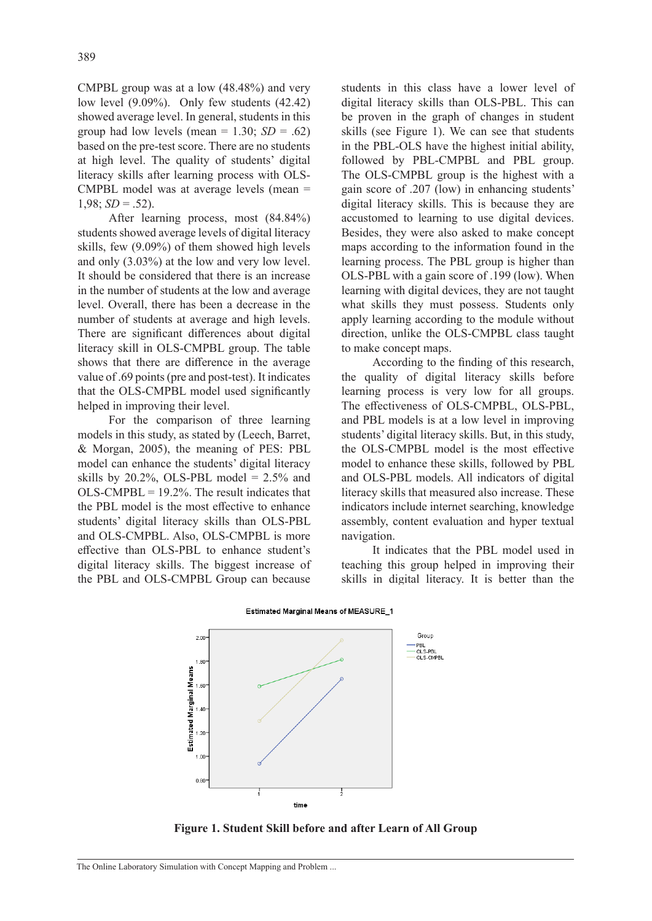CMPBL group was at a low (48.48%) and very low level (9.09%). Only few students (42.42) showed average level. In general, students in this group had low levels (mean =  $1.30$ ; *SD* = .62) based on the pre-test score. There are no students at high level. The quality of students' digital literacy skills after learning process with OLS-CMPBL model was at average levels (mean =  $1,98$ ; *SD* = .52).

After learning process, most (84.84%) students showed average levels of digital literacy skills, few (9.09%) of them showed high levels and only (3.03%) at the low and very low level. It should be considered that there is an increase in the number of students at the low and average level. Overall, there has been a decrease in the number of students at average and high levels. There are significant differences about digital literacy skill in OLS-CMPBL group. The table shows that there are difference in the average value of .69 points (pre and post-test). It indicates that the OLS-CMPBL model used significantly helped in improving their level.

For the comparison of three learning models in this study, as stated by (Leech, Barret, & Morgan, 2005), the meaning of PES: PBL model can enhance the students' digital literacy skills by 20.2%, OLS-PBL model =  $2.5\%$  and  $OLS-CMPBL = 19.2\%$ . The result indicates that the PBL model is the most effective to enhance students' digital literacy skills than OLS-PBL and OLS-CMPBL. Also, OLS-CMPBL is more effective than OLS-PBL to enhance student's digital literacy skills. The biggest increase of the PBL and OLS-CMPBL Group can because

students in this class have a lower level of digital literacy skills than OLS-PBL. This can be proven in the graph of changes in student skills (see Figure 1). We can see that students in the PBL-OLS have the highest initial ability, followed by PBL-CMPBL and PBL group. The OLS-CMPBL group is the highest with a gain score of .207 (low) in enhancing students' digital literacy skills. This is because they are accustomed to learning to use digital devices. Besides, they were also asked to make concept maps according to the information found in the learning process. The PBL group is higher than OLS-PBL with a gain score of .199 (low). When learning with digital devices, they are not taught what skills they must possess. Students only apply learning according to the module without direction, unlike the OLS-CMPBL class taught to make concept maps.

According to the finding of this research, the quality of digital literacy skills before learning process is very low for all groups. The effectiveness of OLS-CMPBL, OLS-PBL, and PBL models is at a low level in improving students' digital literacy skills. But, in this study, the OLS-CMPBL model is the most effective model to enhance these skills, followed by PBL and OLS-PBL models. All indicators of digital literacy skills that measured also increase. These indicators include internet searching, knowledge assembly, content evaluation and hyper textual navigation.

It indicates that the PBL model used in teaching this group helped in improving their skills in digital literacy. It is better than the



#### Estimated Marginal Means of MEASURE\_1

**Figure 1. Student Skill before and after Learn of All Group**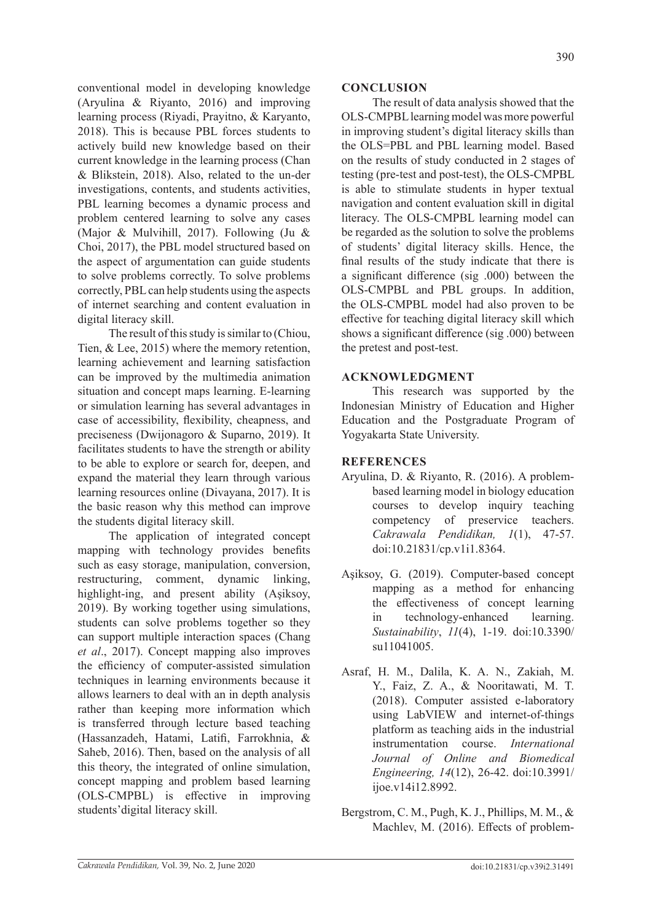conventional model in developing knowledge (Aryulina & Riyanto, 2016) and improving learning process (Riyadi, Prayitno, & Karyanto, 2018). This is because PBL forces students to actively build new knowledge based on their current knowledge in the learning process (Chan & Blikstein, 2018). Also, related to the un-der investigations, contents, and students activities, PBL learning becomes a dynamic process and problem centered learning to solve any cases (Major & Mulvihill, 2017). Following (Ju & Choi, 2017), the PBL model structured based on the aspect of argumentation can guide students to solve problems correctly. To solve problems correctly, PBL can help students using the aspects of internet searching and content evaluation in digital literacy skill.

The result of this study is similar to (Chiou, Tien, & Lee, 2015) where the memory retention, learning achievement and learning satisfaction can be improved by the multimedia animation situation and concept maps learning. E-learning or simulation learning has several advantages in case of accessibility, flexibility, cheapness, and preciseness (Dwijonagoro & Suparno, 2019). It facilitates students to have the strength or ability to be able to explore or search for, deepen, and expand the material they learn through various learning resources online (Divayana, 2017). It is the basic reason why this method can improve the students digital literacy skill.

The application of integrated concept mapping with technology provides benefits such as easy storage, manipulation, conversion, restructuring, comment, dynamic linking, highlight-ing, and present ability (Aşiksoy, 2019). By working together using simulations, students can solve problems together so they can support multiple interaction spaces (Chang *et al*., 2017). Concept mapping also improves the efficiency of computer-assisted simulation techniques in learning environments because it allows learners to deal with an in depth analysis rather than keeping more information which is transferred through lecture based teaching (Hassanzadeh, Hatami, Latifi, Farrokhnia, & Saheb, 2016). Then, based on the analysis of all this theory, the integrated of online simulation, concept mapping and problem based learning (OLS-CMPBL) is effective in improving students'digital literacy skill.

# **CONCLUSION**

The result of data analysis showed that the OLS-CMPBL learning model was more powerful in improving student's digital literacy skills than the OLS=PBL and PBL learning model. Based on the results of study conducted in 2 stages of testing (pre-test and post-test), the OLS-CMPBL is able to stimulate students in hyper textual navigation and content evaluation skill in digital literacy. The OLS-CMPBL learning model can be regarded as the solution to solve the problems of students' digital literacy skills. Hence, the final results of the study indicate that there is a significant difference (sig .000) between the OLS-CMPBL and PBL groups. In addition, the OLS-CMPBL model had also proven to be effective for teaching digital literacy skill which shows a significant difference (sig .000) between the pretest and post-test.

# **ACKNOWLEDGMENT**

This research was supported by the Indonesian Ministry of Education and Higher Education and the Postgraduate Program of Yogyakarta State University.

# **REFERENCES**

- Aryulina, D. & Riyanto, R. (2016). A problembased learning model in biology education courses to develop inquiry teaching competency of preservice teachers. *Cakrawala Pendidikan, 1*(1), 47-57. doi:10.21831/cp.v1i1.8364.
- Aşiksoy, G. (2019). Computer-based concept mapping as a method for enhancing the effectiveness of concept learning in technology-enhanced learning. *Sustainability*, *11*(4), 1-19. doi:10.3390/ su11041005.
- Asraf, H. M., Dalila, K. A. N., Zakiah, M. Y., Faiz, Z. A., & Nooritawati, M. T. (2018). Computer assisted e-laboratory using LabVIEW and internet-of-things platform as teaching aids in the industrial instrumentation course. *International Journal of Online and Biomedical Engineering, 14*(12), 26-42. doi:10.3991/ ijoe.v14i12.8992.
- Bergstrom, C. M., Pugh, K. J., Phillips, M. M., & Machlev, M. (2016). Effects of problem-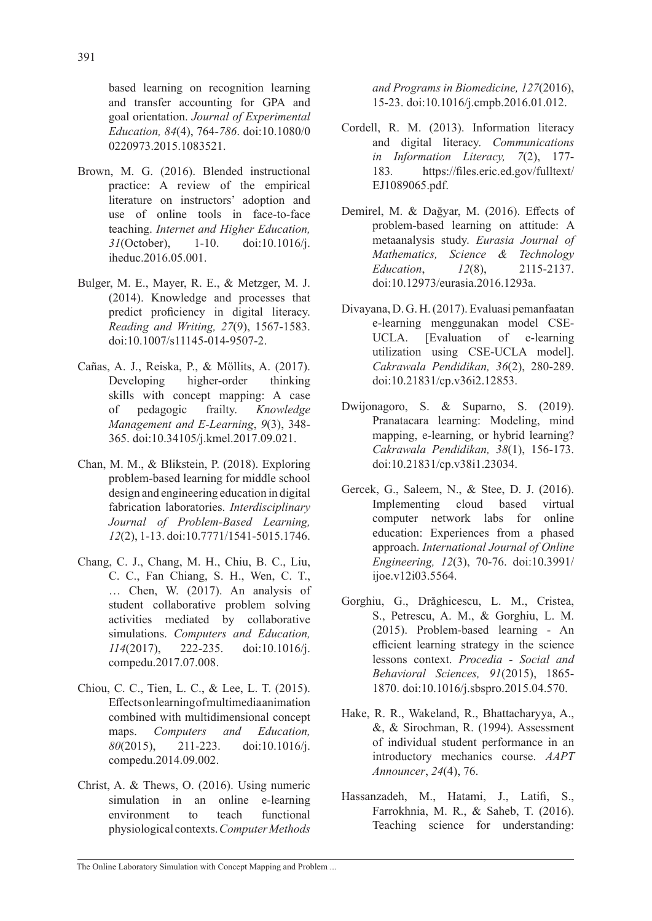based learning on recognition learning and transfer accounting for GPA and goal orientation. *Journal of Experimental Education, 84*(4), 764*-786*. doi:10.1080/0 0220973.2015.1083521.

- Brown, M. G. (2016). Blended instructional practice: A review of the empirical literature on instructors' adoption and use of online tools in face-to-face teaching. *Internet and Higher Education, 31*(October), 1-10. doi:10.1016/j. iheduc.2016.05.001.
- Bulger, M. E., Mayer, R. E., & Metzger, M. J. (2014). Knowledge and processes that predict proficiency in digital literacy. *Reading and Writing, 27*(9), 1567-1583. doi:10.1007/s11145-014-9507-2.
- Cañas, A. J., Reiska, P., & Möllits, A. (2017). Developing higher-order thinking skills with concept mapping: A case of pedagogic frailty. *Knowledge Management and E-Learning*, *9*(3), 348- 365. doi:10.34105/j.kmel.2017.09.021.
- Chan, M. M., & Blikstein, P. (2018). Exploring problem-based learning for middle school design and engineering education in digital fabrication laboratories. *Interdisciplinary Journal of Problem-Based Learning, 12*(2), 1-13. doi:10.7771/1541-5015.1746.
- Chang, C. J., Chang, M. H., Chiu, B. C., Liu, C. C., Fan Chiang, S. H., Wen, C. T., … Chen, W. (2017). An analysis of student collaborative problem solving activities mediated by collaborative simulations. *Computers and Education, 114*(2017), 222-235. doi:10.1016/j. compedu.2017.07.008.
- Chiou, C. C., Tien, L. C., & Lee, L. T. (2015). Effects on learning of multimedia animation combined with multidimensional concept maps. *Computers and Education, 80*(2015), 211-223. doi:10.1016/j. compedu.2014.09.002.
- Christ, A. & Thews, O. (2016). Using numeric simulation in an online e-learning environment to teach functional physiological contexts. *Computer Methods*

*and Programs in Biomedicine, 127*(2016), 15-23. doi:10.1016/j.cmpb.2016.01.012.

- Cordell, R. M. (2013). Information literacy and digital literacy. *Communications in Information Literacy, 7*(2), 177- 183*.* https://files.eric.ed.gov/fulltext/ EJ1089065.pdf.
- Demirel, M. & Dağyar, M. (2016). Effects of problem-based learning on attitude: A metaanalysis study. *Eurasia Journal of Mathematics, Science & Technology Education*, *12*(8), 2115-2137. doi:10.12973/eurasia.2016.1293a.
- Divayana, D. G. H. (2017). Evaluasi pemanfaatan e-learning menggunakan model CSE-UCLA. [Evaluation of e-learning utilization using CSE-UCLA model]. *Cakrawala Pendidikan, 36*(2), 280-289. doi:10.21831/cp.v36i2.12853.
- Dwijonagoro, S. & Suparno, S. (2019). Pranatacara learning: Modeling, mind mapping, e-learning, or hybrid learning? *Cakrawala Pendidikan, 38*(1), 156-173. doi:10.21831/cp.v38i1.23034.
- Gercek, G., Saleem, N., & Stee, D. J. (2016). Implementing cloud based virtual computer network labs for online education: Experiences from a phased approach. *International Journal of Online Engineering, 12*(3), 70-76. doi:10.3991/ ijoe.v12i03.5564.
- Gorghiu, G., Drăghicescu, L. M., Cristea, S., Petrescu, A. M., & Gorghiu, L. M. (2015). Problem-based learning - An efficient learning strategy in the science lessons context. *Procedia* - *Social and Behavioral Sciences, 91*(2015), 1865- 1870. doi:10.1016/j.sbspro.2015.04.570.
- Hake, R. R., Wakeland, R., Bhattacharyya, A., &, & Sirochman, R. (1994). Assessment of individual student performance in an introductory mechanics course. *AAPT Announcer*, *24*(4), 76.
- Hassanzadeh, M., Hatami, J., Latifi, S., Farrokhnia, M. R., & Saheb, T. (2016). Teaching science for understanding: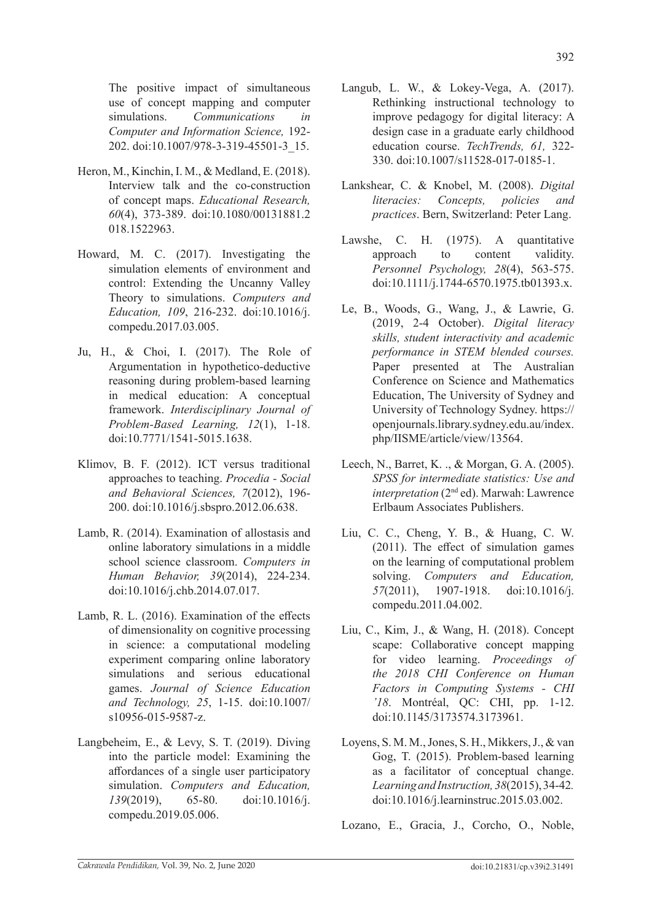The positive impact of simultaneous use of concept mapping and computer simulations. *Communications in Computer and Information Science,* 192- 202. doi:10.1007/978-3-319-45501-3\_15.

- Heron, M., Kinchin, I. M., & Medland, E. (2018). Interview talk and the co-construction of concept maps. *Educational Research, 60*(4), 373-389. doi:10.1080/00131881.2 018.1522963.
- Howard, M. C. (2017). Investigating the simulation elements of environment and control: Extending the Uncanny Valley Theory to simulations. *Computers and Education, 109*, 216-232. doi:10.1016/j. compedu.2017.03.005.
- Ju, H., & Choi, I. (2017). The Role of Argumentation in hypothetico-deductive reasoning during problem-based learning in medical education: A conceptual framework. *Interdisciplinary Journal of Problem-Based Learning, 12*(1), 1-18. doi:10.7771/1541-5015.1638.
- Klimov, B. F. (2012). ICT versus traditional approaches to teaching. *Procedia - Social and Behavioral Sciences, 7*(2012), 196- 200. doi:10.1016/j.sbspro.2012.06.638.
- Lamb, R. (2014). Examination of allostasis and online laboratory simulations in a middle school science classroom. *Computers in Human Behavior, 39*(2014), 224-234. doi:10.1016/j.chb.2014.07.017.
- Lamb, R. L. (2016). Examination of the effects of dimensionality on cognitive processing in science: a computational modeling experiment comparing online laboratory simulations and serious educational games. *Journal of Science Education and Technology, 25*, 1-15. doi:10.1007/ s10956-015-9587-z.
- Langbeheim, E., & Levy, S. T. (2019). Diving into the particle model: Examining the affordances of a single user participatory simulation. *Computers and Education, 139*(2019), 65-80. doi:10.1016/j. compedu.2019.05.006.
- Langub, L. W., & Lokey-Vega, A. (2017). Rethinking instructional technology to improve pedagogy for digital literacy: A design case in a graduate early childhood education course. *TechTrends, 61,* 322- 330. doi:10.1007/s11528-017-0185-1.
- Lankshear, C. & Knobel, M. (2008). *Digital literacies: Concepts, policies and practices*. Bern, Switzerland: Peter Lang.
- Lawshe, C. H. (1975). A quantitative approach to content validity. *Personnel Psychology, 28*(4), 563-575. doi:10.1111/j.1744-6570.1975.tb01393.x.
- Le, B., Woods, G., Wang, J., & Lawrie, G. (2019, 2-4 October). *Digital literacy skills, student interactivity and academic performance in STEM blended courses.* Paper presented at The Australian Conference on Science and Mathematics Education, The University of Sydney and University of Technology Sydney. https:// openjournals.library.sydney.edu.au/index. php/IISME/article/view/13564.
- Leech, N., Barret, K. ., & Morgan, G. A. (2005). *SPSS for intermediate statistics: Use and interpretation* (2<sup>nd</sup> ed). Marwah: Lawrence Erlbaum Associates Publishers.
- Liu, C. C., Cheng, Y. B., & Huang, C. W. (2011). The effect of simulation games on the learning of computational problem solving. *Computers and Education, 57*(2011), 1907-1918. doi:10.1016/j. compedu.2011.04.002.
- Liu, C., Kim, J., & Wang, H. (2018). Concept scape: Collaborative concept mapping for video learning. *Proceedings of the 2018 CHI Conference on Human Factors in Computing Systems - CHI '18*. Montréal, QC: CHI, pp. 1-12. doi:10.1145/3173574.3173961.
- Loyens, S. M. M., Jones, S. H., Mikkers, J., & van Gog, T. (2015). Problem-based learning as a facilitator of conceptual change. *Learning and Instruction, 38*(2015), 34-42*.* doi:10.1016/j.learninstruc.2015.03.002.

Lozano, E., Gracia, J., Corcho, O., Noble,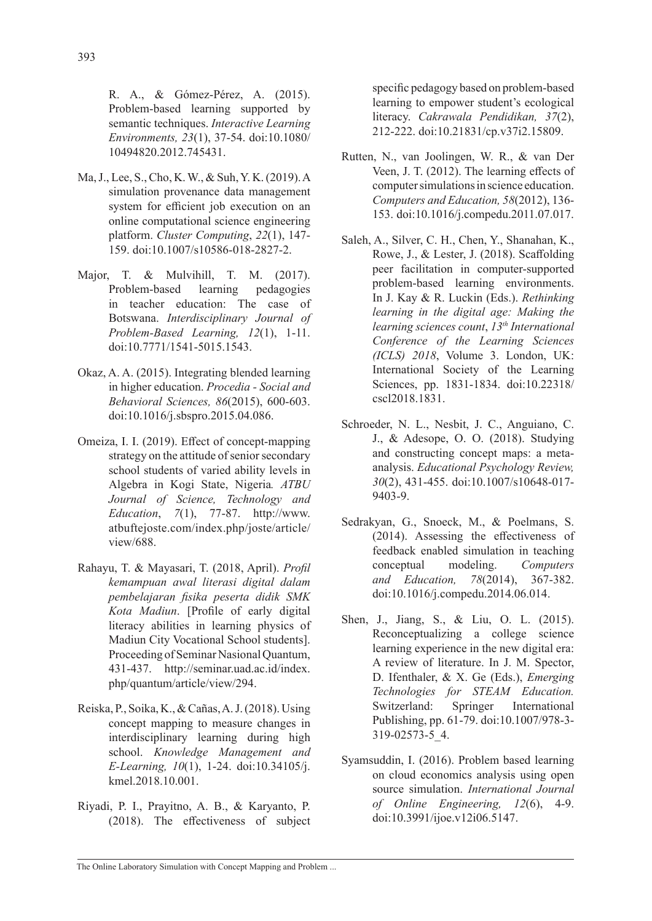R. A., & Gómez-Pérez, A. (2015). Problem-based learning supported by semantic techniques. *Interactive Learning Environments, 23*(1), 37-54. doi:10.1080/ 10494820.2012.745431.

- Ma, J., Lee, S., Cho, K. W., & Suh, Y. K. (2019). A simulation provenance data management system for efficient job execution on an online computational science engineering platform. *Cluster Computing*, *22*(1), 147- 159. doi:10.1007/s10586-018-2827-2.
- Major, T. & Mulvihill, T. M. (2017). Problem-based learning pedagogies in teacher education: The case of Botswana. *Interdisciplinary Journal of Problem-Based Learning, 12*(1), 1-11. doi:10.7771/1541-5015.1543.
- Okaz, A. A. (2015). Integrating blended learning in higher education. *Procedia - Social and Behavioral Sciences, 86*(2015), 600-603. doi:10.1016/j.sbspro.2015.04.086.
- Omeiza, I. I. (2019). Effect of concept-mapping strategy on the attitude of senior secondary school students of varied ability levels in Algebra in Kogi State, Nigeria*. ATBU Journal of Science, Technology and Education*, *7*(1), 77-87. http://www. atbuftejoste.com/index.php/joste/article/ view/688.
- Rahayu, T. & Mayasari, T. (2018, April). *Profil kemampuan awal literasi digital dalam pembelajaran fisika peserta didik SMK Kota Madiun*. [Profile of early digital literacy abilities in learning physics of Madiun City Vocational School students]. Proceeding of Seminar Nasional Quantum, 431-437. http://seminar.uad.ac.id/index. php/quantum/article/view/294.
- Reiska, P., Soika, K., & Cañas, A. J. (2018). Using concept mapping to measure changes in interdisciplinary learning during high school. *Knowledge Management and E-Learning, 10*(1), 1-24. doi:10.34105/j. kmel.2018.10.001.
- Riyadi, P. I., Prayitno, A. B., & Karyanto, P. (2018). The effectiveness of subject

specific pedagogy based on problem-based learning to empower student's ecological literacy. *Cakrawala Pendidikan, 37*(2), 212-222. doi:10.21831/cp.v37i2.15809.

- Rutten, N., van Joolingen, W. R., & van Der Veen, J. T. (2012). The learning effects of computer simulations in science education. *Computers and Education, 58*(2012), 136- 153. doi:10.1016/j.compedu.2011.07.017.
- Saleh, A., Silver, C. H., Chen, Y., Shanahan, K., Rowe, J., & Lester, J. (2018). Scaffolding peer facilitation in computer-supported problem-based learning environments. In J. Kay & R. Luckin (Eds.). *Rethinking learning in the digital age: Making the learning sciences count*, *13th International Conference of the Learning Sciences (ICLS) 2018*, Volume 3. London, UK: International Society of the Learning Sciences, pp. 1831-1834. doi:10.22318/ cscl2018.1831.
- Schroeder, N. L., Nesbit, J. C., Anguiano, C. J., & Adesope, O. O. (2018). Studying and constructing concept maps: a metaanalysis. *Educational Psychology Review, 30*(2), 431-455. doi:10.1007/s10648-017- 9403-9.
- Sedrakyan, G., Snoeck, M., & Poelmans, S. (2014). Assessing the effectiveness of feedback enabled simulation in teaching conceptual modeling. *Computers and Education, 78*(2014), 367-382. doi:10.1016/j.compedu.2014.06.014.
- Shen, J., Jiang, S., & Liu, O. L. (2015). Reconceptualizing a college science learning experience in the new digital era: A review of literature. In J. M. Spector, D. Ifenthaler, & X. Ge (Eds.), *Emerging Technologies for STEAM Education.*  Switzerland: Springer International Publishing, pp. 61-79. doi:10.1007/978-3- 319-02573-5\_4.
- Syamsuddin, I. (2016). Problem based learning on cloud economics analysis using open source simulation. *International Journal of Online Engineering, 12*(6), 4-9. doi:10.3991/ijoe.v12i06.5147.